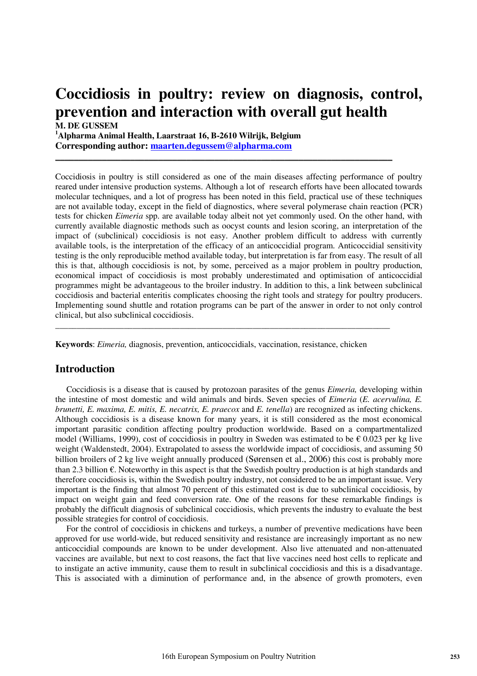# **Coccidiosis in poultry: review on diagnosis, control, prevention and interaction with overall gut health**

 $\_$  , and the set of the set of the set of the set of the set of the set of the set of the set of the set of the set of the set of the set of the set of the set of the set of the set of the set of the set of the set of th

**M. DE GUSSEM 1 Alpharma Animal Health, Laarstraat 16, B-2610 Wilrijk, Belgium Corresponding author: maarten.degussem@alpharma.com**

Coccidiosis in poultry is still considered as one of the main diseases affecting performance of poultry reared under intensive production systems. Although a lot of research efforts have been allocated towards molecular techniques, and a lot of progress has been noted in this field, practical use of these techniques are not available today, except in the field of diagnostics, where several polymerase chain reaction (PCR) tests for chicken *Eimeria* spp. are available today albeit not yet commonly used. On the other hand, with currently available diagnostic methods such as oocyst counts and lesion scoring, an interpretation of the impact of (subclinical) coccidiosis is not easy. Another problem difficult to address with currently available tools, is the interpretation of the efficacy of an anticoccidial program. Anticoccidial sensitivity testing is the only reproducible method available today, but interpretation is far from easy. The result of all this is that, although coccidiosis is not, by some, perceived as a major problem in poultry production, economical impact of coccidiosis is most probably underestimated and optimisation of anticoccidial programmes might be advantageous to the broiler industry. In addition to this, a link between subclinical coccidiosis and bacterial enteritis complicates choosing the right tools and strategy for poultry producers. Implementing sound shuttle and rotation programs can be part of the answer in order to not only control clinical, but also subclinical coccidiosis.

**Keywords**: *Eimeria,* diagnosis, prevention, anticoccidials, vaccination, resistance, chicken

\_\_\_\_\_\_\_\_\_\_\_\_\_\_\_\_\_\_\_\_\_\_\_\_\_\_\_\_\_\_\_\_\_\_\_\_\_\_\_\_\_\_\_\_\_\_\_\_\_\_\_\_\_\_\_\_\_\_\_\_\_\_\_\_\_\_\_\_\_\_\_\_\_\_\_\_\_\_

### **Introduction**

 Coccidiosis is a disease that is caused by protozoan parasites of the genus *Eimeria,* developing within the intestine of most domestic and wild animals and birds. Seven species of *Eimeria* (*E. acervulina, E. brunetti, E. maxima, E. mitis, E. necatrix, E. praecox* and *E. tenella*) are recognized as infecting chickens. Although coccidiosis is a disease known for many years, it is still considered as the most economical important parasitic condition affecting poultry production worldwide. Based on a compartmentalized model (Williams, 1999), cost of coccidiosis in poultry in Sweden was estimated to be  $\epsilon$  0.023 per kg live weight (Waldenstedt, 2004). Extrapolated to assess the worldwide impact of coccidiosis, and assuming 50 billion broilers of 2 kg live weight annually produced (Sørensen et al., 2006) this cost is probably more than 2.3 billion €. Noteworthy in this aspect is that the Swedish poultry production is at high standards and therefore coccidiosis is, within the Swedish poultry industry, not considered to be an important issue. Very important is the finding that almost 70 percent of this estimated cost is due to subclinical coccidiosis, by impact on weight gain and feed conversion rate. One of the reasons for these remarkable findings is probably the difficult diagnosis of subclinical coccidiosis, which prevents the industry to evaluate the best possible strategies for control of coccidiosis.

 For the control of coccidiosis in chickens and turkeys, a number of preventive medications have been approved for use world-wide, but reduced sensitivity and resistance are increasingly important as no new anticoccidial compounds are known to be under development. Also live attenuated and non-attenuated vaccines are available, but next to cost reasons, the fact that live vaccines need host cells to replicate and to instigate an active immunity, cause them to result in subclinical coccidiosis and this is a disadvantage. This is associated with a diminution of performance and, in the absence of growth promoters, even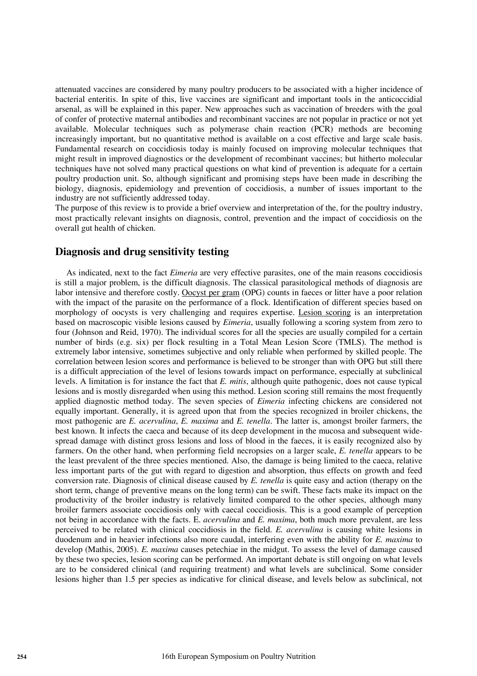attenuated vaccines are considered by many poultry producers to be associated with a higher incidence of bacterial enteritis. In spite of this, live vaccines are significant and important tools in the anticoccidial arsenal, as will be explained in this paper. New approaches such as vaccination of breeders with the goal of confer of protective maternal antibodies and recombinant vaccines are not popular in practice or not yet available. Molecular techniques such as polymerase chain reaction (PCR) methods are becoming increasingly important, but no quantitative method is available on a cost effective and large scale basis. Fundamental research on coccidiosis today is mainly focused on improving molecular techniques that might result in improved diagnostics or the development of recombinant vaccines; but hitherto molecular techniques have not solved many practical questions on what kind of prevention is adequate for a certain poultry production unit. So, although significant and promising steps have been made in describing the biology, diagnosis, epidemiology and prevention of coccidiosis, a number of issues important to the industry are not sufficiently addressed today.

The purpose of this review is to provide a brief overview and interpretation of the, for the poultry industry, most practically relevant insights on diagnosis, control, prevention and the impact of coccidiosis on the overall gut health of chicken.

#### **Diagnosis and drug sensitivity testing**

 As indicated, next to the fact *Eimeria* are very effective parasites, one of the main reasons coccidiosis is still a major problem, is the difficult diagnosis. The classical parasitological methods of diagnosis are labor intensive and therefore costly. Oocyst per gram (OPG) counts in faeces or litter have a poor relation with the impact of the parasite on the performance of a flock. Identification of different species based on morphology of oocysts is very challenging and requires expertise. Lesion scoring is an interpretation based on macroscopic visible lesions caused by *Eimeria*, usually following a scoring system from zero to four (Johnson and Reid, 1970). The individual scores for all the species are usually compiled for a certain number of birds (e.g. six) per flock resulting in a Total Mean Lesion Score (TMLS). The method is extremely labor intensive, sometimes subjective and only reliable when performed by skilled people. The correlation between lesion scores and performance is believed to be stronger than with OPG but still there is a difficult appreciation of the level of lesions towards impact on performance, especially at subclinical levels. A limitation is for instance the fact that *E. mitis*, although quite pathogenic, does not cause typical lesions and is mostly disregarded when using this method. Lesion scoring still remains the most frequently applied diagnostic method today. The seven species of *Eimeria* infecting chickens are considered not equally important. Generally, it is agreed upon that from the species recognized in broiler chickens, the most pathogenic are *E. acervulina*, *E. maxima* and *E. tenella*. The latter is, amongst broiler farmers, the best known. It infects the caeca and because of its deep development in the mucosa and subsequent widespread damage with distinct gross lesions and loss of blood in the faeces, it is easily recognized also by farmers. On the other hand, when performing field necropsies on a larger scale, *E. tenella* appears to be the least prevalent of the three species mentioned. Also, the damage is being limited to the caeca, relative less important parts of the gut with regard to digestion and absorption, thus effects on growth and feed conversion rate. Diagnosis of clinical disease caused by *E. tenella* is quite easy and action (therapy on the short term, change of preventive means on the long term) can be swift. These facts make its impact on the productivity of the broiler industry is relatively limited compared to the other species, although many broiler farmers associate coccidiosis only with caecal coccidiosis. This is a good example of perception not being in accordance with the facts. E. *acervulina* and *E. maxima*, both much more prevalent, are less perceived to be related with clinical coccidiosis in the field. *E. acervulina* is causing white lesions in duodenum and in heavier infections also more caudal, interfering even with the ability for *E. maxima* to develop (Mathis, 2005). *E. maxima* causes petechiae in the midgut. To assess the level of damage caused by these two species, lesion scoring can be performed. An important debate is still ongoing on what levels are to be considered clinical (and requiring treatment) and what levels are subclinical. Some consider lesions higher than 1.5 per species as indicative for clinical disease, and levels below as subclinical, not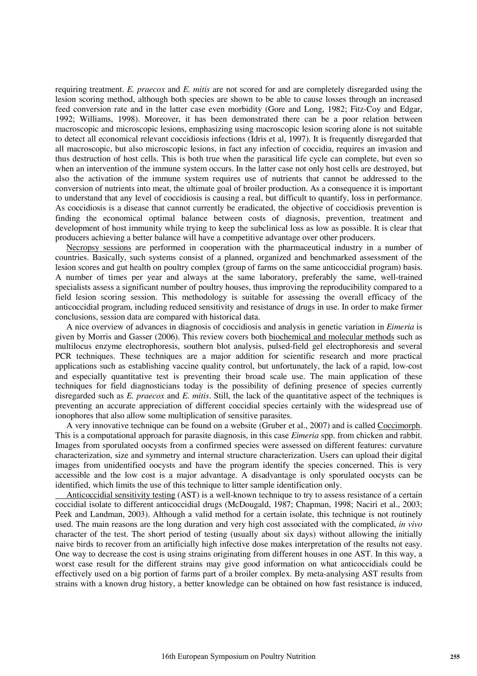requiring treatment. *E. praecox* and *E. mitis* are not scored for and are completely disregarded using the lesion scoring method, although both species are shown to be able to cause losses through an increased feed conversion rate and in the latter case even morbidity (Gore and Long, 1982; Fitz-Coy and Edgar, 1992; Williams, 1998). Moreover, it has been demonstrated there can be a poor relation between macroscopic and microscopic lesions, emphasizing using macroscopic lesion scoring alone is not suitable to detect all economical relevant coccidiosis infections (Idris et al, 1997). It is frequently disregarded that all macroscopic, but also microscopic lesions, in fact any infection of coccidia, requires an invasion and thus destruction of host cells. This is both true when the parasitical life cycle can complete, but even so when an intervention of the immune system occurs. In the latter case not only host cells are destroyed, but also the activation of the immune system requires use of nutrients that cannot be addressed to the conversion of nutrients into meat, the ultimate goal of broiler production. As a consequence it is important to understand that any level of coccidiosis is causing a real, but difficult to quantify, loss in performance. As coccidiosis is a disease that cannot currently be eradicated, the objective of coccidiosis prevention is finding the economical optimal balance between costs of diagnosis, prevention, treatment and development of host immunity while trying to keep the subclinical loss as low as possible. It is clear that producers achieving a better balance will have a competitive advantage over other producers.

 Necropsy sessions are performed in cooperation with the pharmaceutical industry in a number of countries. Basically, such systems consist of a planned, organized and benchmarked assessment of the lesion scores and gut health on poultry complex (group of farms on the same anticoccidial program) basis. A number of times per year and always at the same laboratory, preferably the same, well-trained specialists assess a significant number of poultry houses, thus improving the reproducibility compared to a field lesion scoring session. This methodology is suitable for assessing the overall efficacy of the anticoccidial program, including reduced sensitivity and resistance of drugs in use. In order to make firmer conclusions, session data are compared with historical data.

 A nice overview of advances in diagnosis of coccidiosis and analysis in genetic variation in *Eimeria* is given by Morris and Gasser (2006). This review covers both biochemical and molecular methods such as multilocus enzyme electrophoresis, southern blot analysis, pulsed-field gel electrophoresis and several PCR techniques. These techniques are a major addition for scientific research and more practical applications such as establishing vaccine quality control, but unfortunately, the lack of a rapid, low-cost and especially quantitative test is preventing their broad scale use. The main application of these techniques for field diagnosticians today is the possibility of defining presence of species currently disregarded such as *E. praecox* and *E. mitis*. Still, the lack of the quantitative aspect of the techniques is preventing an accurate appreciation of different coccidial species certainly with the widespread use of ionophores that also allow some multiplication of sensitive parasites.

 A very innovative technique can be found on a website (Gruber et al., 2007) and is called Coccimorph. This is a computational approach for parasite diagnosis, in this case *Eimeria* spp. from chicken and rabbit. Images from sporulated oocysts from a confirmed species were assessed on different features: curvature characterization, size and symmetry and internal structure characterization. Users can upload their digital images from unidentified oocysts and have the program identify the species concerned. This is very accessible and the low cost is a major advantage. A disadvantage is only sporulated oocysts can be identified, which limits the use of this technique to litter sample identification only.

 Anticoccidial sensitivity testing (AST) is a well-known technique to try to assess resistance of a certain coccidial isolate to different anticoccidial drugs (McDougald, 1987; Chapman, 1998; Naciri et al., 2003; Peek and Landman, 2003). Although a valid method for a certain isolate, this technique is not routinely used. The main reasons are the long duration and very high cost associated with the complicated, *in vivo* character of the test. The short period of testing (usually about six days) without allowing the initially naive birds to recover from an artificially high infective dose makes interpretation of the results not easy. One way to decrease the cost is using strains originating from different houses in one AST. In this way, a worst case result for the different strains may give good information on what anticoccidials could be effectively used on a big portion of farms part of a broiler complex. By meta-analysing AST results from strains with a known drug history, a better knowledge can be obtained on how fast resistance is induced,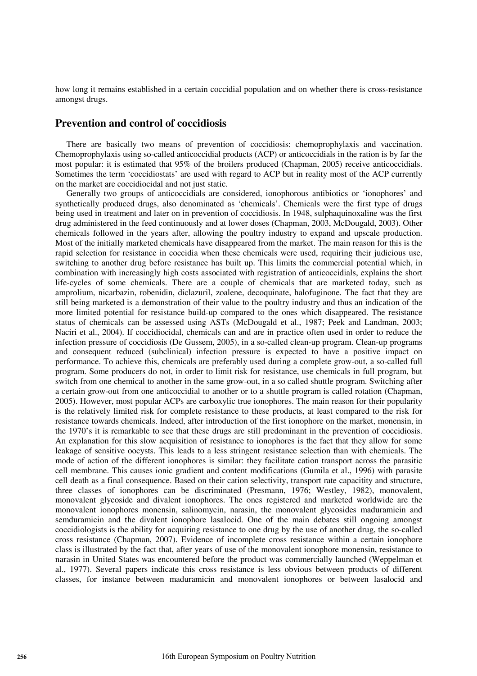how long it remains established in a certain coccidial population and on whether there is cross-resistance amongst drugs.

#### **Prevention and control of coccidiosis**

 There are basically two means of prevention of coccidiosis: chemoprophylaxis and vaccination. Chemoprophylaxis using so-called anticoccidial products (ACP) or anticoccidials in the ration is by far the most popular: it is estimated that 95% of the broilers produced (Chapman, 2005) receive anticoccidials. Sometimes the term 'coccidiostats' are used with regard to ACP but in reality most of the ACP currently on the market are coccidiocidal and not just static.

 Generally two groups of anticoccidials are considered, ionophorous antibiotics or 'ionophores' and synthetically produced drugs, also denominated as 'chemicals'. Chemicals were the first type of drugs being used in treatment and later on in prevention of coccidiosis. In 1948, sulphaquinoxaline was the first drug administered in the feed continuously and at lower doses (Chapman, 2003, McDougald, 2003). Other chemicals followed in the years after, allowing the poultry industry to expand and upscale production. Most of the initially marketed chemicals have disappeared from the market. The main reason for this is the rapid selection for resistance in coccidia when these chemicals were used, requiring their judicious use, switching to another drug before resistance has built up. This limits the commercial potential which, in combination with increasingly high costs associated with registration of anticoccidials, explains the short life-cycles of some chemicals. There are a couple of chemicals that are marketed today, such as amprolium, nicarbazin, robenidin, diclazuril, zoalene, decoquinate, halofuginone. The fact that they are still being marketed is a demonstration of their value to the poultry industry and thus an indication of the more limited potential for resistance build-up compared to the ones which disappeared. The resistance status of chemicals can be assessed using ASTs (McDougald et al., 1987; Peek and Landman, 2003; Naciri et al., 2004). If coccidiocidal, chemicals can and are in practice often used in order to reduce the infection pressure of coccidiosis (De Gussem, 2005), in a so-called clean-up program. Clean-up programs and consequent reduced (subclinical) infection pressure is expected to have a positive impact on performance. To achieve this, chemicals are preferably used during a complete grow-out, a so-called full program. Some producers do not, in order to limit risk for resistance, use chemicals in full program, but switch from one chemical to another in the same grow-out, in a so called shuttle program. Switching after a certain grow-out from one anticoccidial to another or to a shuttle program is called rotation (Chapman, 2005). However, most popular ACPs are carboxylic true ionophores. The main reason for their popularity is the relatively limited risk for complete resistance to these products, at least compared to the risk for resistance towards chemicals. Indeed, after introduction of the first ionophore on the market, monensin, in the 1970's it is remarkable to see that these drugs are still predominant in the prevention of coccidiosis. An explanation for this slow acquisition of resistance to ionophores is the fact that they allow for some leakage of sensitive oocysts. This leads to a less stringent resistance selection than with chemicals. The mode of action of the different ionophores is similar: they facilitate cation transport across the parasitic cell membrane. This causes ionic gradient and content modifications (Gumila et al., 1996) with parasite cell death as a final consequence. Based on their cation selectivity, transport rate capacitity and structure, three classes of ionophores can be discriminated (Presmann, 1976; Westley, 1982), monovalent, monovalent glycoside and divalent ionophores. The ones registered and marketed worldwide are the monovalent ionophores monensin, salinomycin, narasin, the monovalent glycosides maduramicin and semduramicin and the divalent ionophore lasalocid. One of the main debates still ongoing amongst coccidiologists is the ability for acquiring resistance to one drug by the use of another drug, the so-called cross resistance (Chapman, 2007). Evidence of incomplete cross resistance within a certain ionophore class is illustrated by the fact that, after years of use of the monovalent ionophore monensin, resistance to narasin in United States was encountered before the product was commercially launched (Weppelman et al., 1977). Several papers indicate this cross resistance is less obvious between products of different classes, for instance between maduramicin and monovalent ionophores or between lasalocid and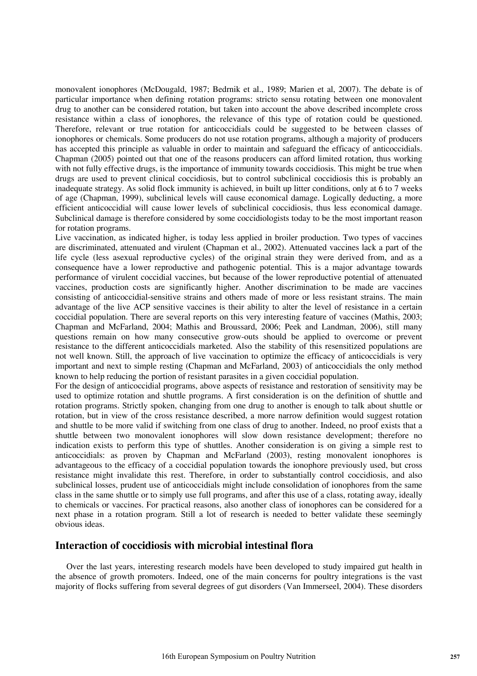monovalent ionophores (McDougald, 1987; Bedrnik et al., 1989; Marien et al, 2007). The debate is of particular importance when defining rotation programs: stricto sensu rotating between one monovalent drug to another can be considered rotation, but taken into account the above described incomplete cross resistance within a class of ionophores, the relevance of this type of rotation could be questioned. Therefore, relevant or true rotation for anticoccidials could be suggested to be between classes of ionophores or chemicals. Some producers do not use rotation programs, although a majority of producers has accepted this principle as valuable in order to maintain and safeguard the efficacy of anticoccidials. Chapman (2005) pointed out that one of the reasons producers can afford limited rotation, thus working with not fully effective drugs, is the importance of immunity towards coccidiosis. This might be true when drugs are used to prevent clinical coccidiosis, but to control subclinical coccidiosis this is probably an inadequate strategy. As solid flock immunity is achieved, in built up litter conditions, only at 6 to 7 weeks of age (Chapman, 1999), subclinical levels will cause economical damage. Logically deducting, a more efficient anticoccidial will cause lower levels of subclinical coccidiosis, thus less economical damage. Subclinical damage is therefore considered by some coccidiologists today to be the most important reason for rotation programs.

Live vaccination, as indicated higher, is today less applied in broiler production. Two types of vaccines are discriminated, attenuated and virulent (Chapman et al., 2002). Attenuated vaccines lack a part of the life cycle (less asexual reproductive cycles) of the original strain they were derived from, and as a consequence have a lower reproductive and pathogenic potential. This is a major advantage towards performance of virulent coccidial vaccines, but because of the lower reproductive potential of attenuated vaccines, production costs are significantly higher. Another discrimination to be made are vaccines consisting of anticoccidial-sensitive strains and others made of more or less resistant strains. The main advantage of the live ACP sensitive vaccines is their ability to alter the level of resistance in a certain coccidial population. There are several reports on this very interesting feature of vaccines (Mathis, 2003; Chapman and McFarland, 2004; Mathis and Broussard, 2006; Peek and Landman, 2006), still many questions remain on how many consecutive grow-outs should be applied to overcome or prevent resistance to the different anticoccidials marketed. Also the stability of this resensitized populations are not well known. Still, the approach of live vaccination to optimize the efficacy of anticoccidials is very important and next to simple resting (Chapman and McFarland, 2003) of anticoccidials the only method known to help reducing the portion of resistant parasites in a given coccidial population.

For the design of anticoccidial programs, above aspects of resistance and restoration of sensitivity may be used to optimize rotation and shuttle programs. A first consideration is on the definition of shuttle and rotation programs. Strictly spoken, changing from one drug to another is enough to talk about shuttle or rotation, but in view of the cross resistance described, a more narrow definition would suggest rotation and shuttle to be more valid if switching from one class of drug to another. Indeed, no proof exists that a shuttle between two monovalent ionophores will slow down resistance development; therefore no indication exists to perform this type of shuttles. Another consideration is on giving a simple rest to anticoccidials: as proven by Chapman and McFarland (2003), resting monovalent ionophores is advantageous to the efficacy of a coccidial population towards the ionophore previously used, but cross resistance might invalidate this rest. Therefore, in order to substantially control coccidiosis, and also subclinical losses, prudent use of anticoccidials might include consolidation of ionophores from the same class in the same shuttle or to simply use full programs, and after this use of a class, rotating away, ideally to chemicals or vaccines. For practical reasons, also another class of ionophores can be considered for a next phase in a rotation program. Still a lot of research is needed to better validate these seemingly obvious ideas.

#### **Interaction of coccidiosis with microbial intestinal flora**

 Over the last years, interesting research models have been developed to study impaired gut health in the absence of growth promoters. Indeed, one of the main concerns for poultry integrations is the vast majority of flocks suffering from several degrees of gut disorders (Van Immerseel, 2004). These disorders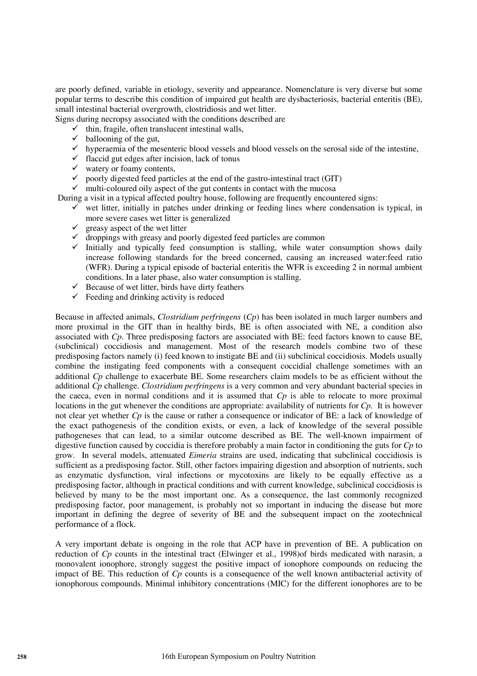are poorly defined, variable in etiology, severity and appearance. Nomenclature is very diverse but some popular terms to describe this condition of impaired gut health are dysbacteriosis, bacterial enteritis (BE), small intestinal bacterial overgrowth, clostridiosis and wet litter.

Signs during necropsy associated with the conditions described are

- $\checkmark$  thin, fragile, often translucent intestinal walls,
- $\checkmark$  ballooning of the gut,
- $\checkmark$  hyperaemia of the mesenteric blood vessels and blood vessels on the serosal side of the intestine,
- $\checkmark$  flaccid gut edges after incision, lack of tonus
- $\checkmark$  watery or foamy contents,
- $\checkmark$  poorly digested feed particles at the end of the gastro-intestinal tract (GIT)
- $\checkmark$  multi-coloured oily aspect of the gut contents in contact with the mucosa
- During a visit in a typical affected poultry house, following are frequently encountered signs:
	- $\checkmark$  wet litter, initially in patches under drinking or feeding lines where condensation is typical, in more severe cases wet litter is generalized
	- $\checkmark$  greasy aspect of the wet litter
	- $\checkmark$  droppings with greasy and poorly digested feed particles are common
	- Initially and typically feed consumption is stalling, while water consumption shows daily increase following standards for the breed concerned, causing an increased water:feed ratio (WFR). During a typical episode of bacterial enteritis the WFR is exceeding 2 in normal ambient conditions. In a later phase, also water consumption is stalling.
	- Because of wet litter, birds have dirty feathers
	- $\checkmark$  Feeding and drinking activity is reduced

Because in affected animals, *Clostridium perfringens* (*Cp*) has been isolated in much larger numbers and more proximal in the GIT than in healthy birds, BE is often associated with NE, a condition also associated with *Cp*. Three predisposing factors are associated with BE: feed factors known to cause BE, (subclinical) coccidiosis and management. Most of the research models combine two of these predisposing factors namely (i) feed known to instigate BE and (ii) subclinical coccidiosis. Models usually combine the instigating feed components with a consequent coccidial challenge sometimes with an additional *Cp* challenge to exacerbate BE. Some researchers claim models to be as efficient without the additional *Cp* challenge. *Clostridium perfringens* is a very common and very abundant bacterial species in the caeca, even in normal conditions and it is assumed that *Cp* is able to relocate to more proximal locations in the gut whenever the conditions are appropriate: availability of nutrients for *Cp*. It is however not clear yet whether *Cp* is the cause or rather a consequence or indicator of BE: a lack of knowledge of the exact pathogenesis of the condition exists, or even, a lack of knowledge of the several possible pathogeneses that can lead, to a similar outcome described as BE. The well-known impairment of digestive function caused by coccidia is therefore probably a main factor in conditioning the guts for *Cp* to grow. In several models, attenuated *Eimeria* strains are used, indicating that subclinical coccidiosis is sufficient as a predisposing factor. Still, other factors impairing digestion and absorption of nutrients, such as enzymatic dysfunction, viral infections or mycotoxins are likely to be equally effective as a predisposing factor, although in practical conditions and with current knowledge, subclinical coccidiosis is believed by many to be the most important one. As a consequence, the last commonly recognized predisposing factor, poor management, is probably not so important in inducing the disease but more important in defining the degree of severity of BE and the subsequent impact on the zootechnical performance of a flock.

A very important debate is ongoing in the role that ACP have in prevention of BE. A publication on reduction of *Cp* counts in the intestinal tract (Elwinger et al., 1998) of birds medicated with narasin, a monovalent ionophore, strongly suggest the positive impact of ionophore compounds on reducing the impact of BE. This reduction of *Cp* counts is a consequence of the well known antibacterial activity of ionophorous compounds. Minimal inhibitory concentrations (MIC) for the different ionophores are to be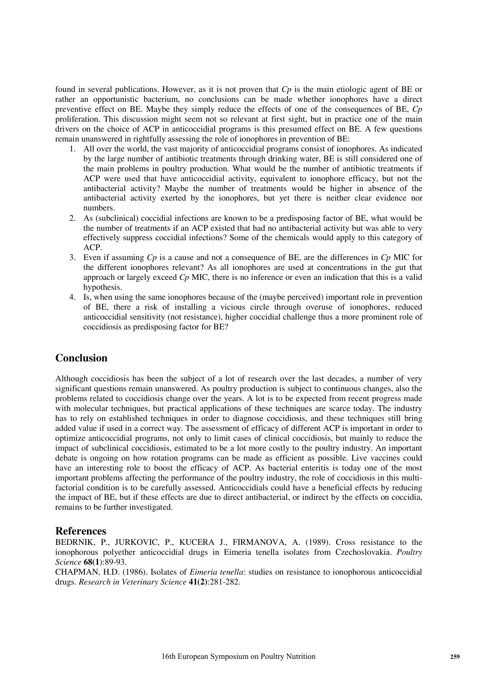found in several publications. However, as it is not proven that *Cp* is the main etiologic agent of BE or rather an opportunistic bacterium, no conclusions can be made whether ionophores have a direct preventive effect on BE. Maybe they simply reduce the effects of one of the consequences of BE, *Cp* proliferation. This discussion might seem not so relevant at first sight, but in practice one of the main drivers on the choice of ACP in anticoccidial programs is this presumed effect on BE. A few questions remain unanswered in rightfully assessing the role of ionophores in prevention of BE:

- 1. All over the world, the vast majority of anticoccidial programs consist of ionophores. As indicated by the large number of antibiotic treatments through drinking water, BE is still considered one of the main problems in poultry production. What would be the number of antibiotic treatments if ACP were used that have anticoccidial activity, equivalent to ionophore efficacy, but not the antibacterial activity? Maybe the number of treatments would be higher in absence of the antibacterial activity exerted by the ionophores, but yet there is neither clear evidence nor numbers.
- 2. As (subclinical) coccidial infections are known to be a predisposing factor of BE, what would be the number of treatments if an ACP existed that had no antibacterial activity but was able to very effectively suppress coccidial infections? Some of the chemicals would apply to this category of ACP.
- 3. Even if assuming *Cp* is a cause and not a consequence of BE, are the differences in *Cp* MIC for the different ionophores relevant? As all ionophores are used at concentrations in the gut that approach or largely exceed *Cp* MIC, there is no inference or even an indication that this is a valid hypothesis.
- 4. Is, when using the same ionophores because of the (maybe perceived) important role in prevention of BE, there a risk of installing a vicious circle through overuse of ionophores, reduced anticoccidial sensitivity (not resistance), higher coccidial challenge thus a more prominent role of coccidiosis as predisposing factor for BE?

## **Conclusion**

Although coccidiosis has been the subject of a lot of research over the last decades, a number of very significant questions remain unanswered. As poultry production is subject to continuous changes, also the problems related to coccidiosis change over the years. A lot is to be expected from recent progress made with molecular techniques, but practical applications of these techniques are scarce today. The industry has to rely on established techniques in order to diagnose coccidiosis, and these techniques still bring added value if used in a correct way. The assessment of efficacy of different ACP is important in order to optimize anticoccidial programs, not only to limit cases of clinical coccidiosis, but mainly to reduce the impact of subclinical coccidiosis, estimated to be a lot more costly to the poultry industry. An important debate is ongoing on how rotation programs can be made as efficient as possible. Live vaccines could have an interesting role to boost the efficacy of ACP. As bacterial enteritis is today one of the most important problems affecting the performance of the poultry industry, the role of coccidiosis in this multifactorial condition is to be carefully assessed. Anticoccidials could have a beneficial effects by reducing the impact of BE, but if these effects are due to direct antibacterial, or indirect by the effects on coccidia, remains to be further investigated.

### **References**

BEDRNIK, P., JURKOVIC, P., KUCERA J., FIRMANOVA, A. (1989). Cross resistance to the ionophorous polyether anticoccidial drugs in Eimeria tenella isolates from Czechoslovakia. *Poultry Science* **68(1**):89-93.

CHAPMAN, H.D. (1986). Isolates of *Eimeria tenella*: studies on resistance to ionophorous anticoccidial drugs. *Research in Veterinary Science* **41(2)**:281-282.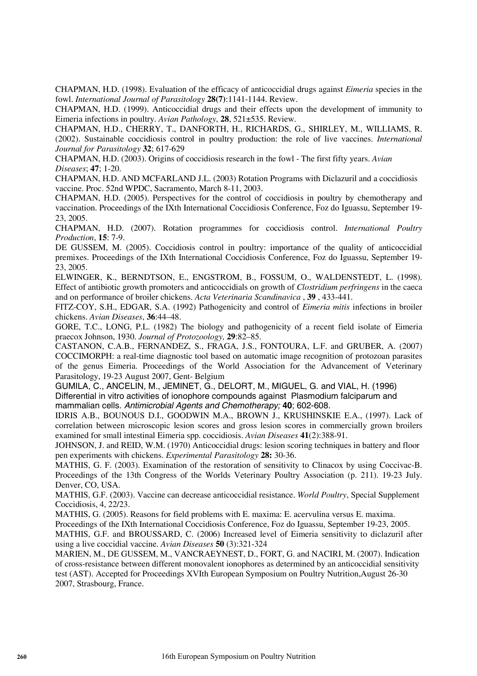CHAPMAN, H.D. (1998). Evaluation of the efficacy of anticoccidial drugs against *Eimeria* species in the fowl. *International Journal of Parasitology* **28(7)**:1141-1144. Review.

CHAPMAN, H.D. (1999). Anticoccidial drugs and their effects upon the development of immunity to Eimeria infections in poultry. *Avian Pathology*, **28**, 521±535. Review.

CHAPMAN, H.D., CHERRY, T., DANFORTH, H., RICHARDS, G., SHIRLEY, M., WILLIAMS, R. (2002). Sustainable coccidiosis control in poultry production: the role of live vaccines. *International Journal for Parasitology* **32**; 617-629

CHAPMAN, H.D. (2003). Origins of coccidiosis research in the fowl - The first fifty years. *Avian Diseases*; **47**; 1-20.

CHAPMAN, H.D. AND MCFARLAND J.L. (2003) Rotation Programs with Diclazuril and a coccidiosis vaccine. Proc. 52nd WPDC, Sacramento, March 8-11, 2003.

CHAPMAN, H.D. (2005). Perspectives for the control of coccidiosis in poultry by chemotherapy and vaccination. Proceedings of the IXth International Coccidiosis Conference, Foz do Iguassu, September 19- 23, 2005.

CHAPMAN, H.D. (2007). Rotation programmes for coccidiosis control. *International Poultry Production*, **15**: 7-9.

DE GUSSEM, M. (2005). Coccidiosis control in poultry: importance of the quality of anticoccidial premixes. Proceedings of the IXth International Coccidiosis Conference, Foz do Iguassu, September 19- 23, 2005.

ELWINGER, K., BERNDTSON, E., ENGSTROM, B., FOSSUM, O., WALDENSTEDT, L. (1998). Effect of antibiotic growth promoters and anticoccidials on growth of *Clostridium perfringens* in the caeca and on performance of broiler chickens. *Acta Veterinaria Scandinavica* , **39** , 433-441.

FITZ-COY, S.H., EDGAR, S.A. (1992) Pathogenicity and control of *Eimeria mitis* infections in broiler chickens. *Avian Diseases*, **36**:44–48.

GORE, T.C., LONG, P.L. (1982) The biology and pathogenicity of a recent field isolate of Eimeria praecox Johnson, 1930. *Journal of Protozoology,* **29**:82–85.

CASTANON, C.A.B., FERNANDEZ, S., FRAGA, J.S., FONTOURA, L.F. and GRUBER, A. (2007) COCCIMORPH: a real-time diagnostic tool based on automatic image recognition of protozoan parasites of the genus Eimeria. Proceedings of the World Association for the Advancement of Veterinary Parasitology, 19-23 August 2007, Gent- Belgium

GUMILA, C., ANCELIN, M., JEMINET, G., DELORT, M., MIGUEL, G. and VIAL, H. (1996) Differential in vitro activities of ionophore compounds against Plasmodium falciparum and mammalian cells. *Antimicrobial Agents and Chemotherapy;* **40**; 602-608.

IDRIS A.B., BOUNOUS D.I., GOODWIN M.A., BROWN J., KRUSHINSKIE E.A., (1997). Lack of correlation between microscopic lesion scores and gross lesion scores in commercially grown broilers examined for small intestinal Eimeria spp. coccidiosis. *Avian Diseases* **41**(2):388-91.

JOHNSON, J. and REID, W.M. (1970) Anticoccidial drugs: lesion scoring techniques in battery and floor pen experiments with chickens. *Experimental Parasitology* **28:** 30-36.

MATHIS, G. F. (2003). Examination of the restoration of sensitivity to Clinacox by using Coccivac-B. Proceedings of the 13th Congress of the Worlds Veterinary Poultry Association (p. 211). 19-23 July. Denver, CO, USA.

MATHIS, G.F. (2003). Vaccine can decrease anticoccidial resistance. *World Poultry*, Special Supplement Coccidiosis, 4, 22/23.

MATHIS, G. (2005). Reasons for field problems with E. maxima: E. acervulina versus E. maxima.

Proceedings of the IXth International Coccidiosis Conference, Foz do Iguassu, September 19-23, 2005.

MATHIS, G.F. and BROUSSARD, C. (2006) Increased level of Eimeria sensitivity to diclazuril after using a live coccidial vaccine. *Avian Diseases* **50** (3):321-324

MARIEN, M., DE GUSSEM, M., VANCRAEYNEST, D., FORT, G. and NACIRI, M. (2007). Indication of cross-resistance between different monovalent ionophores as determined by an anticoccidial sensitivity test (AST). Accepted for Proceedings XVIth European Symposium on Poultry Nutrition,August 26-30 2007, Strasbourg, France.